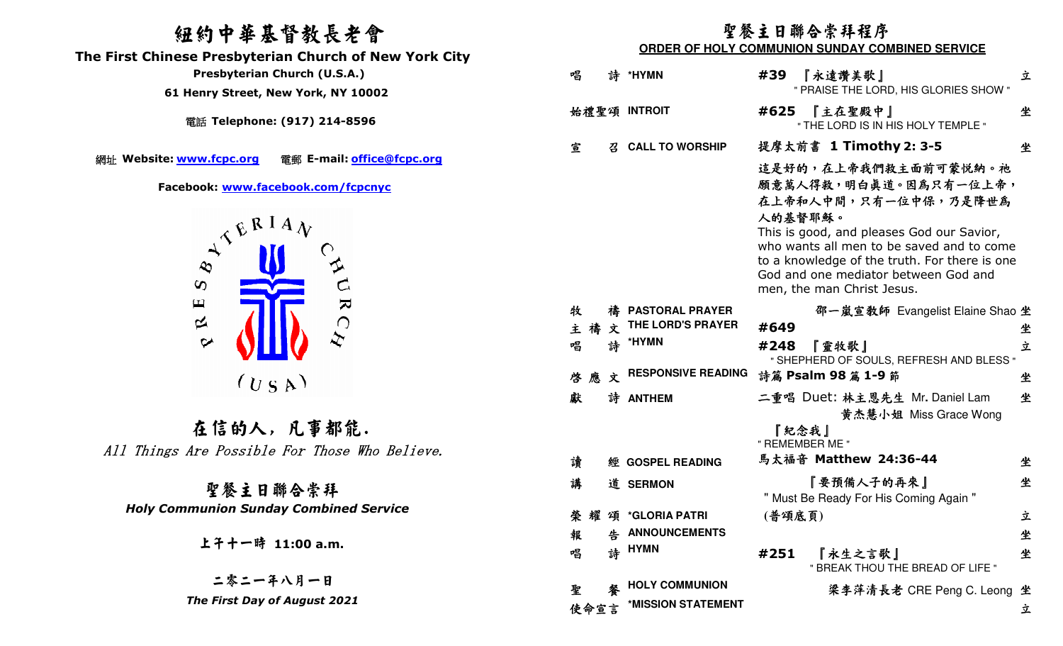## 紐約中華基督教長老會

 **The First Chinese Presbyterian Church of New York City** 

電話 **Telephone: (917) 214-8596** 

網址 Website: www.fcpc.org



在信的人, 凡事都能. All Things Are Possible For Those Who Believe.

聖餐主日聯合崇拜 *Holy Communion Sunday Combined Service* 

## 聖餐主日聯合崇拜程序

**ORDER OF HOLY COMMUNION SUNDAY COMBINED SERVICE** 

| mese Fresbytenan Charen of New Tork City                                                                                                                                                          |              |                           |                                                                                                                                                                                                                                                                                                   |   |
|---------------------------------------------------------------------------------------------------------------------------------------------------------------------------------------------------|--------------|---------------------------|---------------------------------------------------------------------------------------------------------------------------------------------------------------------------------------------------------------------------------------------------------------------------------------------------|---|
| <b>Presbyterian Church (U.S.A.)</b>                                                                                                                                                               | 唱<br>詩       | *HYMN                     | #39<br>『永遠讚美歌』                                                                                                                                                                                                                                                                                    | 立 |
| 61 Henry Street, New York, NY 10002                                                                                                                                                               |              |                           | " PRAISE THE LORD, HIS GLORIES SHOW "                                                                                                                                                                                                                                                             |   |
| 電話 Telephone: (917) 214-8596                                                                                                                                                                      | 始禮聖頌 INTROIT |                           | #625<br>『主在聖殿中』<br>" THE LORD IS IN HIS HOLY TEMPLE "                                                                                                                                                                                                                                             | 坐 |
|                                                                                                                                                                                                   | 宣<br>召       | <b>CALL TO WORSHIP</b>    | 提摩太前書 1 Timothy 2: 3-5                                                                                                                                                                                                                                                                            | 坐 |
| te: <u>www.fcpc.org</u><br>電郵 E-mail: office@fcpc.org<br>Facebook: www.facebook.com/fcpcnyc<br>$A^{\mathcal{A}^{\mathbf{E}}\mathbf{R}^{\mathbf{I}}\mathbf{A}}\mathbf{v}$<br>$\boldsymbol{\omega}$ |              |                           | 這是好的,在上帝我們救主面前可蒙悦納。祂<br>願意萬人得救,明白真道。因為只有一位上帝,<br>在上帝和人中間,只有一位中保,乃是降世為<br>人的基督耶穌。<br>This is good, and pleases God our Savior,<br>who wants all men to be saved and to come<br>to a knowledge of the truth. For there is one<br>God and one mediator between God and<br>men, the man Christ Jesus. |   |
| $\pmb{\sqcup}$<br>$\mathbf{z}$                                                                                                                                                                    | 牧            | <b>PASTORAL PRAYER</b>    | 邵一嵐宣教師 Evangelist Elaine Shao 坐                                                                                                                                                                                                                                                                   |   |
| $\approx$<br>$\bigcap$                                                                                                                                                                            | 主禧<br>文      | THE LORD'S PRAYER         | #649                                                                                                                                                                                                                                                                                              | 坐 |
| $\mathcal{L}$<br>$\sim$                                                                                                                                                                           | 唱            | 詩 *HYMN                   | #248<br>『靈牧歌』<br>" SHEPHERD OF SOULS, REFRESH AND BLESS "                                                                                                                                                                                                                                         | 立 |
| (U S A)                                                                                                                                                                                           | 啓應文          | <b>RESPONSIVE READING</b> | 詩篇 Psalm 98 篇 1-9 節                                                                                                                                                                                                                                                                               | 坐 |
|                                                                                                                                                                                                   | 獻            | 詩 ANTHEM                  | 二重唱 Duet: 林主恩先生 Mr. Daniel Lam<br>黄杰慧小姐 Miss Grace Wong                                                                                                                                                                                                                                           | 坐 |
| 在信的人,凡事都能.                                                                                                                                                                                        |              |                           | 『紀念我』                                                                                                                                                                                                                                                                                             |   |
| ngs Are Possible For Those Who Believe.                                                                                                                                                           |              |                           | " REMEMBER ME "                                                                                                                                                                                                                                                                                   |   |
|                                                                                                                                                                                                   | 讀            | 經 GOSPEL READING          | 馬太福音 Matthew 24:36-44                                                                                                                                                                                                                                                                             | 坐 |
| 聖餐主日聯合崇拜                                                                                                                                                                                          | 講            | 道 SERMON                  | 『要預備人子的再來』<br>" Must Be Ready For His Coming Again "                                                                                                                                                                                                                                              | 坐 |
| <b>Communion Sunday Combined Service</b>                                                                                                                                                          | 榮            | 耀 頌 *GLORIA PATRI         | (普頌底頁)                                                                                                                                                                                                                                                                                            | 立 |
|                                                                                                                                                                                                   | 報            | 告 ANNOUNCEMENTS           |                                                                                                                                                                                                                                                                                                   | 坐 |
| 上子十一時 11:00 a.m.                                                                                                                                                                                  | 唱            | 詩 HYMN                    | 『永生之言歌』<br>#251<br>" BREAK THOU THE BREAD OF LIFE "                                                                                                                                                                                                                                               | 坐 |
| 二零二一年八月一日                                                                                                                                                                                         | 聖<br>馨       | <b>HOLY COMMUNION</b>     | 梁李萍清長老 CRE Peng C. Leong 坐                                                                                                                                                                                                                                                                        |   |
| The First Day of August 2021                                                                                                                                                                      | 使命宣言         | *MISSION STATEMENT        |                                                                                                                                                                                                                                                                                                   | 立 |
|                                                                                                                                                                                                   |              |                           |                                                                                                                                                                                                                                                                                                   |   |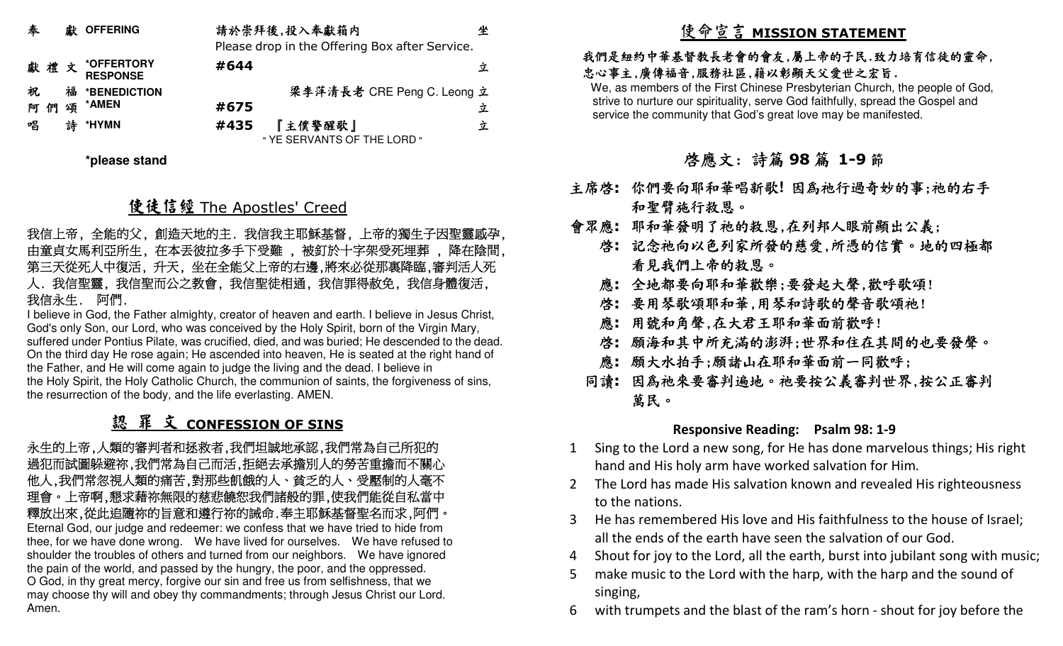| 奉  |   | 獻 OFFERING                    |      | 請於崇拜後,投入奉獻箱内<br>Please drop in the Offering Box after Service. | 坐 |
|----|---|-------------------------------|------|----------------------------------------------------------------|---|
|    |   | よいをきょう *OFFERTORY<br>RESPONSE | #644 |                                                                | 立 |
| 祝  |   | 福 *BENEDICTION                |      | 梁李萍清長老 CRE Peng C. Leong 立                                     |   |
| 阿們 | 頌 | *AMEN                         | #675 |                                                                | 立 |
| 唱  |   | *HYMN                         | #435 | 『主僕警醒歌』<br>" YE SERVANTS OF THE LORD "                         | 立 |

**\*please stand** 

# 使徒信經 The Apostles' Creed<br>^^ ^^" T``` `` ^^ ^^ ^`T````

## 我信上帝, 全能的父, 創造天地的主. 我信我主耶穌基督, 上帝的獨生子因聖靈感孕, 由童貞女馬利亞所生, 在本丟彼拉多手下受難 , 被釘於十字架受死埋葬 , 降在陰間, 第三天從死人中復活, 升天, 坐在全能父上帝的右邊,將來必從那裏降臨,審判活人死人. 我信聖靈, 我信聖而公之教會, 我信聖徒相通, 我信罪得赦免, 我信身體復活, 我信永生. 阿們.

 I believe in God, the Father almighty, creator of heaven and earth. I believe in Jesus Christ, God's only Son, our Lord, who was conceived by the Holy Spirit, born of the Virgin Mary, suffered under Pontius Pilate, was crucified, died, and was buried; He descended to the dead. On the third day He rose again; He ascended into heaven, He is seated at the right hand of the Father, and He will come again to judge the living and the dead. I believe in the Holy Spirit, the Holy Catholic Church, the communion of saints, the forgiveness of sins, the resurrection of the body, and the life everlasting. AMEN.

# <u>認 罪 文 CONFESSION OF SINS</u><br>题的变型类型技术类型型

 永生的上帝,人類的審判者和拯救者,我們坦誠地承認,我們常為自己所犯的 過犯而試圖躲避祢,我們常為自己而活,拒絕去承擔別人的勞苦重擔而不關心 他人,我們常忽視人類的痛苦,對那些飢餓的人、貧乏的人、受壓制的人毫不 理會。上帝啊,懇求藉祢無限的慈悲饒恕我們諸般的罪,使我們能從自私當中 釋放出來,從此追隨祢的旨意和遵行祢的誡命.奉主耶穌基督聖名而求,阿們。 Eternal God, our judge and redeemer: we confess that we have tried to hide from thee, for we have done wrong. We have lived for ourselves. We have refused to shoulder the troubles of others and turned from our neighbors. We have ignored the pain of the world, and passed by the hungry, the poor, and the oppressed. O God, in thy great mercy, forgive our sin and free us from selfishness, that we may choose thy will and obey thy commandments; through Jesus Christ our Lord. Amen.

# 使命宣言 **MISSION STATEMENT**

## 我們是紐約中華基督教長老會的會友,屬上帝的子民.致力培育信徒的靈命, 忠心事主,廣傳福音,服務社區,藉以彰顯天父愛世之宏旨.

 We, as members of the First Chinese Presbyterian Church, the people of God, strive to nurture our spirituality, serve God faithfully, spread the Gospel and service the community that God's great love may be manifested.

# 啟應文: 詩篇 **<sup>98</sup>** 篇 **1-9**節

- 主席啟**:** 你們要向耶和華唱新歌**!** 因為祂行過奇妙的事;祂的右手和聖臂施行救恩。
- 會眾應**:** 耶和華發明了祂的救恩,在列邦人眼前顯出公義;
	- 啟**:** 記念祂向以色列家所發的慈愛,所憑的信實。地的四極都看見我們上帝的救恩。
	- 應**:** 全地都要向耶和華歡樂;要發起大聲,歡呼歌頌!
	- 啟**:** 要用琴歌頌耶和華,用琴和詩歌的聲音歌頌祂!
	- 應**:** 用號和角聲,在大君王耶和華面前歡呼!
	- 啟**:** 願海和其中所充滿的澎湃;世界和住在其間的也要發聲。
	- 應**:** 願大水拍手;願諸山在耶和華面前一同歡呼;
	- 同讀**:** 因為祂來要審判遍地。祂要按公義審判世界,按公正審判 萬民。

## **Responsive Reading: Psalm 98: 1-9**

- 1 Sing to the Lord a new song, for He has done marvelous things; His right hand and His holy arm have worked salvation for Him.
- 2 The Lord has made His salvation known and revealed His righteousness to the nations.
- 3 He has remembered His love and His faithfulness to the house of Israel; all the ends of the earth have seen the salvation of our God.
- 4Shout for joy to the Lord, all the earth, burst into jubilant song with music;
- 5 make music to the Lord with the harp, with the harp and the sound of singing,
- 6with trumpets and the blast of the ram's horn - shout for joy before the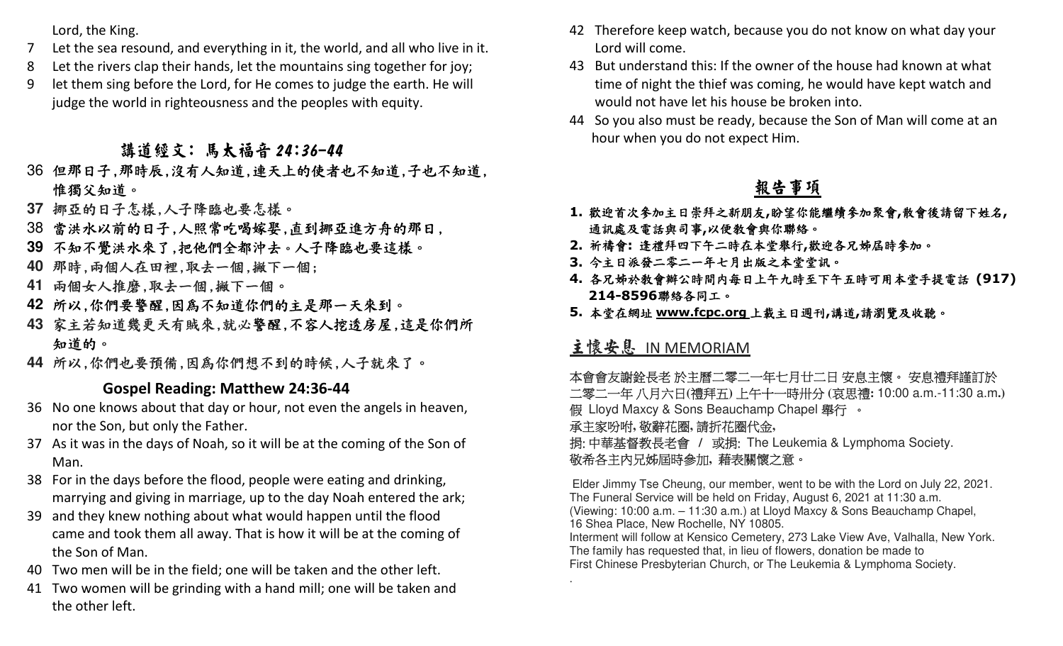Lord, the King.

- 7Let the sea resound, and everything in it, the world, and all who live in it.
- 8Let the rivers clap their hands, let the mountains sing together for joy;
- 9 let them sing before the Lord, for He comes to judge the earth. He will judge the world in righteousness and the peoples with equity.

- 36 但那日子,那時辰,沒有人知道,連天上的使者也不知道,子也不知道,<br>36 但那日子,那時辰,沒有人知道,連天上的使者也不知道,子也不知道, 惟獨父知道。
- **37** 挪亞的日子怎樣,人子降臨也要怎樣。
- 38 當洪水以前的日子,人照常吃喝嫁娶,直到挪亞進方舟的那日,
- **39** 不知不覺洪水來了,把他們全都沖去。人子降臨也要這樣。
- **40** 那時,兩個人在田裡,取去一個,撇下一個;
- **41** 兩個女人推磨,取去一個,撇下一個。
- **42** 所以,你們要警醒,因為不知道你們的主是那一天來到。
- **43** 家主若知道幾更天有賊來,就必警醒,不容人挖透房屋,這是你們所 知道的。
- **44** 所以,你們也要預備,因為你們想不到的時候,人子就來了。

## **Gospel Reading: Matthew 24:36-44**

- 36 No one knows about that day or hour, not even the angels in heaven, nor the Son, but only the Father.
- 37 As it was in the days of Noah, so it will be at the coming of the Son of Man.
- 38 For in the days before the flood, people were eating and drinking, marrying and giving in marriage, up to the day Noah entered the ark;
- 39 and they knew nothing about what would happen until the flood came and took them all away. That is how it will be at the coming of the Son of Man.
- 40 Two men will be in the field; one will be taken and the other left.
- 41 Two women will be grinding with a hand mill; one will be taken and the other left.
- 42 Therefore keep watch, because you do not know on what day your Lord will come.
- 43 But understand this: If the owner of the house had known at what time of night the thief was coming, he would have kept watch and would not have let his house be broken into.
- 44 So you also must be ready, because the Son of Man will come at an hour when you do not expect Him.

## 報告事項

- **1.**歡迎首次參加主日崇拜之新朋友**,**盼望你能繼續參加聚會**,**散會後請留下姓名**,** 通訊處及電話與司事**,**<sup>以</sup>便教會與你聯絡。
- **2.** 祈禱會**:** 逢禮拜四下午二時在本堂舉行**,**歡迎各兄姊屆時參加。
- **3.** 今主日派發二零二一年七月出版之本堂堂訊。
- **4.** 各兄姊於教會辦公時間內每日上午九時至下午五時可用本堂手提電話 **(917) 214-8596**聯絡各同工。
- **5.** 本堂在網址 **www.fcpc.org** 上載主日週刊**,**講道**,**請瀏覽及收聽。

## 主懷安息 IN MEMORIAM

.

本會會友謝銓長老 於主曆二零二一年七月廿二日 安息主懷。 安息禮拜謹訂於<br>그察二一年 # H 눈모(漕拜石) トケナー時出台 (声甲漕• 10:00 a m\_11:30 a m 二零二一年八月六日**(**禮拜五**)** 上午十一時卅分 **(**哀思禮**:** 10:00 a.m.-11:30 a.m**.)** 假 Lloyd Maxcy & Sons Beauchamp Chapel 舉行 。<br>予言家吟帖 数致功图 請氏功图代会 承主家吩咐**,** 敬辭花圈**,** 請折花圈代金**,** 捐: 中華基督教長老會 **/** 或捐: The Leukemia & Lymphoma Society.

## 敬希各主內兄姊屆時參加**,** 藉表關懷之意。

Elder Jimmy Tse Cheung, our member, went to be with the Lord on July 22, 2021. The Funeral Service will be held on Friday, August 6, 2021 at 11:30 a.m. (Viewing: 10:00 a.m. – 11:30 a.m.) at Lloyd Maxcy & Sons Beauchamp Chapel, 16 Shea Place, New Rochelle, NY 10805.

 Interment will follow at Kensico Cemetery, 273 Lake View Ave, Valhalla, New York. The family has requested that, in lieu of flowers, donation be made to First Chinese Presbyterian Church, or The Leukemia & Lymphoma Society.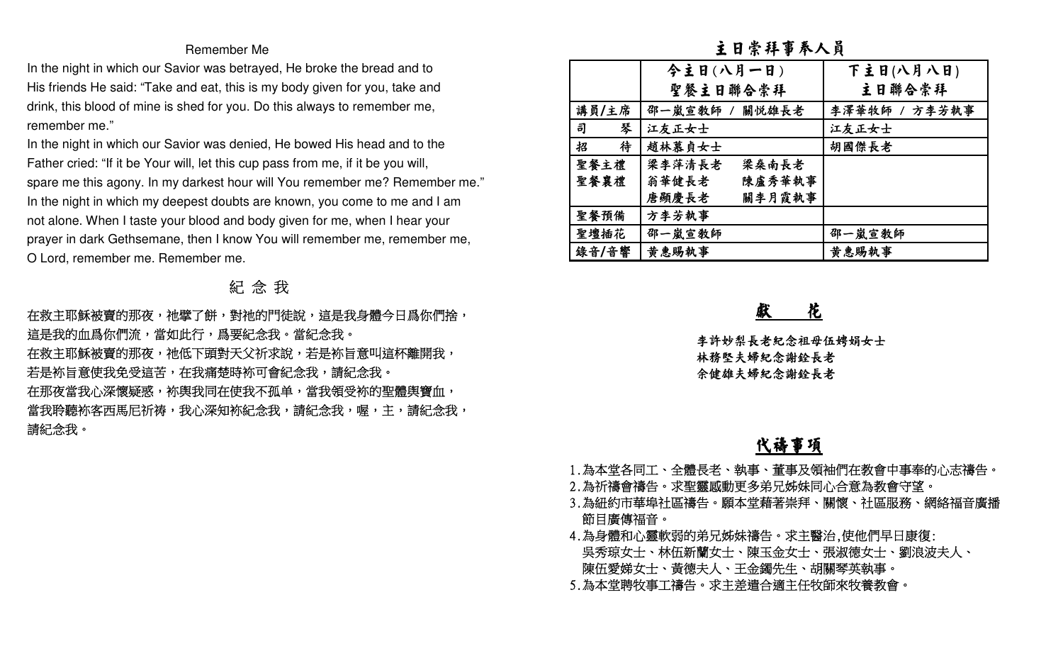#### Remember Me

## 紀 念 我

| Remember Me                                                                      |        | 主日崇拜事奉人員          |               |
|----------------------------------------------------------------------------------|--------|-------------------|---------------|
| In the night in which our Savior was betrayed, He broke the bread and to         |        | 今主日(八月一日)         | 下主日(八月八日)     |
| His friends He said: "Take and eat, this is my body given for you, take and      |        | 聖餐主日聯合崇拜          | 主日聯合崇拜        |
| drink, this blood of mine is shed for you. Do this always to remember me,        | 講員/主席  | 邵一嵐宣教師 /<br>關悦雄長老 | 李澤華牧師 / 方李芳執事 |
| remember me."                                                                    | 琴<br>司 | 江友正女士             | 江友正女士         |
| In the night in which our Savior was denied, He bowed His head and to the        | 待<br>招 | 趙林慕貞女士            | 胡國傑長老         |
| Father cried: "If it be Your will, let this cup pass from me, if it be you will, | 聖餐主禮   | 梁李萍清長老<br>梁桑南長老   |               |
| spare me this agony. In my darkest hour will You remember me? Remember me."      | 聖餐襄禮   | 陳盧秀華執事<br>翁華健長老   |               |
| In the night in which my deepest doubts are known, you come to me and I am       |        | 唐顯慶長老<br>關李月霞執事   |               |
| not alone. When I taste your blood and body given for me, when I hear your       | 聖餐預備   | 方李芳執事             |               |
| prayer in dark Gethsemane, then I know You will remember me, remember me,        | 聖壇插花   | 邵一嵐宣教師            | 邵一嵐宣教師        |
| O Lord, remember me. Remember me.                                                | 錄音/音響  | 黄惠賜執事             | 黄惠賜執事         |
| 紀念我                                                                              |        |                   |               |
| 在救主耶穌被賣的那夜,祂擘了餅,對祂的門徒說,這是我身體今日爲你們捨,                                              |        | 花                 |               |
| 這是我的血爲你們流,當如此行,爲要紀念我。當紀念我。                                                       |        | 李許妙梨長老紀念祖母伍娉娟女士   |               |
| 在救主耶穌被賣的那夜,祂低下頭對天父祈求說,若是袮旨意叫這杯離開我,                                               |        | 林務堅夫婦紀念謝銓長老       |               |
| 若是袮旨意使我免受這苦,在我痛楚時袮可會紀念我,請紀念我。                                                    |        | 余健雄夫婦紀念謝銓長老       |               |
| 在那夜當我心深懷疑惑,袮舆我同在使我不孤单,當我領受袮的聖體舆寶血,                                               |        |                   |               |
| 當我聆聽袮客西馬尼祈祷,我心深知袮紀念我,請紀念我,喔,主,請紀念我,                                              |        |                   |               |
| 請紀念我。                                                                            |        |                   |               |

## 代禱事項

- 
- 
- 1.為本堂各同工、全體長老、執事、董事及領袖們在教會中事奉的心志禱告。<br>2.為祈禱會禱告。求聖靈感動更多弟兄姊妹同心合意為教會守望。<br>3.為紐約市華埠社區禱告。願本堂藉著崇拜、關懷、社區服務、網絡福音廣播<br>節目廣傳福音。<br>4.為覺體和心靈軟弱的弟兄姊妹禱告。求主醫治,使他們早日康復:<br>吳秀琼女士、林伍新蘭女士、陳玉金女士、張淑德女士、劉浪波夫人、<br>陳伍愛娣女士、黃德夫人、王金鐲先生、胡關琴英執事。<br>5.為本堂聘牧事工禱告。求主差遣合適主任
- -
- 
-